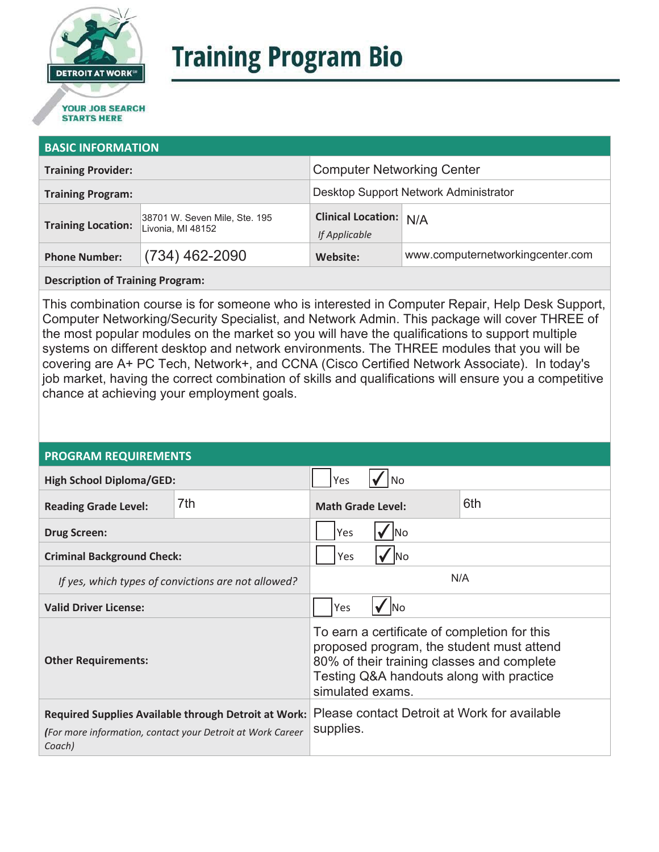

# **Training Program Bio**

## **STARTS HERE**

#### **BASIC INFORMATION**

| <b>Training Provider:</b> |                                                    | <b>Computer Networking Center</b>              |                                  |  |
|---------------------------|----------------------------------------------------|------------------------------------------------|----------------------------------|--|
| <b>Training Program:</b>  |                                                    | Desktop Support Network Administrator          |                                  |  |
| <b>Training Location:</b> | 38701 W. Seven Mile, Ste. 195<br>Livonia, MI 48152 | <b>Clinical Location: N/A</b><br>If Applicable |                                  |  |
| <b>Phone Number:</b>      | $(734)$ 462-2090                                   | Website:                                       | www.computernetworkingcenter.com |  |

**Description of Training Program:** 

This combination course is for someone who is interested in Computer Repair, Help Desk Support, Computer Networking/Security Specialist, and Network Admin. This package will cover THREE of the most popular modules on the market so you will have the qualifications to support multiple systems on different desktop and network environments. The THREE modules that you will be covering are A+ PC Tech, Network+, and CCNA (Cisco Certified Network Associate). In today's job market, having the correct combination of skills and qualifications will ensure you a competitive chance at achieving your employment goals.

#### **PROGRAM REQUIREMENTS**

| <b>High School Diploma/GED:</b>                                                                                                     |     | Yes                                                                                                                                                                                                     |  |  |
|-------------------------------------------------------------------------------------------------------------------------------------|-----|---------------------------------------------------------------------------------------------------------------------------------------------------------------------------------------------------------|--|--|
| <b>Reading Grade Level:</b>                                                                                                         | 7th | 6th<br><b>Math Grade Level:</b>                                                                                                                                                                         |  |  |
| <b>Drug Screen:</b>                                                                                                                 |     | Yes<br>lNo                                                                                                                                                                                              |  |  |
| <b>Criminal Background Check:</b>                                                                                                   |     | Yes<br>lNo                                                                                                                                                                                              |  |  |
| If yes, which types of convictions are not allowed?                                                                                 |     | N/A                                                                                                                                                                                                     |  |  |
| <b>Valid Driver License:</b>                                                                                                        |     | Yes<br><b>INo</b>                                                                                                                                                                                       |  |  |
| <b>Other Requirements:</b>                                                                                                          |     | To earn a certificate of completion for this<br>proposed program, the student must attend<br>80% of their training classes and complete<br>Testing Q&A handouts along with practice<br>simulated exams. |  |  |
| <b>Required Supplies Available through Detroit at Work:</b><br>(For more information, contact your Detroit at Work Career<br>Coach) |     | Please contact Detroit at Work for available<br>supplies.                                                                                                                                               |  |  |